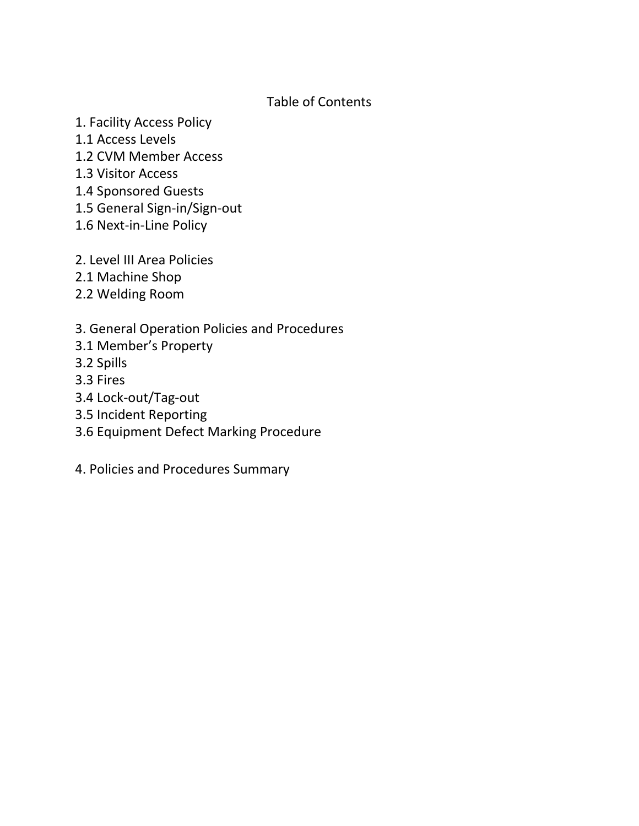# Table of Contents

- 1. Facility Access Policy
- 1.1 Access Levels
- 1.2 CVM Member Access
- 1.3 Visitor Access
- 1.4 Sponsored Guests
- 1.5 General Sign-in/Sign-out
- 1.6 Next-in-Line Policy
- 2. Level III Area Policies
- 2.1 Machine Shop
- 2.2 Welding Room

# 3. General Operation Policies and Procedures

- 3.1 Member's Property
- 3.2 Spills
- 3.3 Fires
- 3.4 Lock-out/Tag-out
- 3.5 Incident Reporting
- 3.6 Equipment Defect Marking Procedure
- 4. Policies and Procedures Summary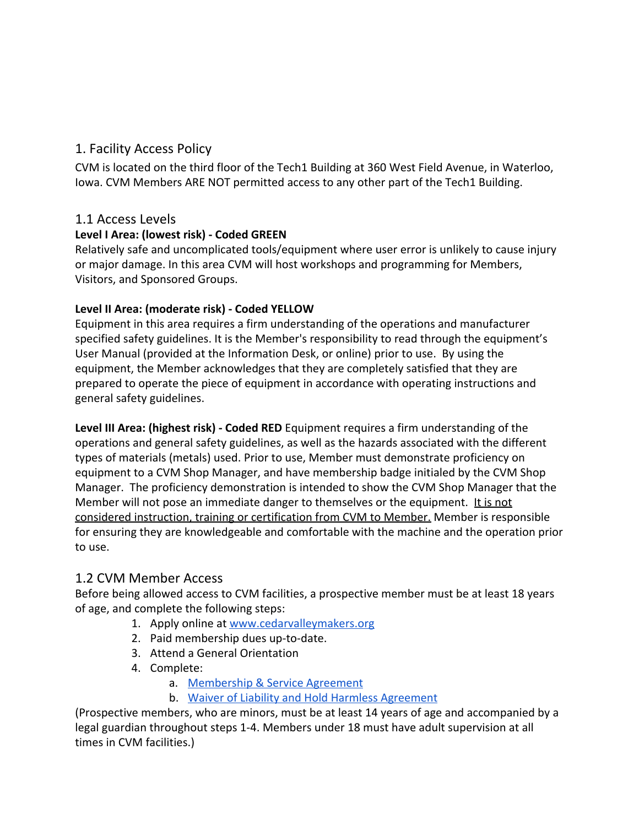# 1. Facility Access Policy

CVM is located on the third floor of the Tech1 Building at 360 West Field Avenue, in Waterloo, Iowa. CVM Members ARE NOT permitted access to any other part of the Tech1 Building.

### 1.1 Access Levels

### **Level I Area: (lowest risk) - Coded GREEN**

Relatively safe and uncomplicated tools/equipment where user error is unlikely to cause injury or major damage. In this area CVM will host workshops and programming for Members, Visitors, and Sponsored Groups.

### **Level II Area: (moderate risk) - Coded YELLOW**

Equipment in this area requires a firm understanding of the operations and manufacturer specified safety guidelines. It is the Member's responsibility to read through the equipment's User Manual (provided at the Information Desk, or online) prior to use. By using the equipment, the Member acknowledges that they are completely satisfied that they are prepared to operate the piece of equipment in accordance with operating instructions and general safety guidelines.

**Level III Area: (highest risk) - Coded RED** Equipment requires a firm understanding of the operations and general safety guidelines, as well as the hazards associated with the different types of materials (metals) used. Prior to use, Member must demonstrate proficiency on equipment to a CVM Shop Manager, and have membership badge initialed by the CVM Shop Manager. The proficiency demonstration is intended to show the CVM Shop Manager that the Member will not pose an immediate danger to themselves or the equipment. It is not considered instruction, training or certification from CVM to Member. Member is responsible for ensuring they are knowledgeable and comfortable with the machine and the operation prior to use.

### 1.2 CVM Member Access

Before being allowed access to CVM facilities, a prospective member must be at least 18 years of age, and complete the following steps:

- 1. Apply online at [www.cedarvalleymakers.org](http://www.cedarvalleymakers.org/)
- 2. Paid membership dues up-to-date.
- 3. Attend a General Orientation
- 4. Complete:
	- a. [Membership & Service Agreement](https://docs.google.com/document/d/1jAB14qgglt6M1IGMpy31Ffh_MTZzWWv2f25GzntSE2w/edit)
	- b. [Waiver of Liability and Hold Harmless Agreement](http://drive.google.com/open?id=0B4I2oJ7j_puRbV9nb05VeVJ1bXM)

(Prospective members, who are minors, must be at least 14 years of age and accompanied by a legal guardian throughout steps 1-4. Members under 18 must have adult supervision at all times in CVM facilities.)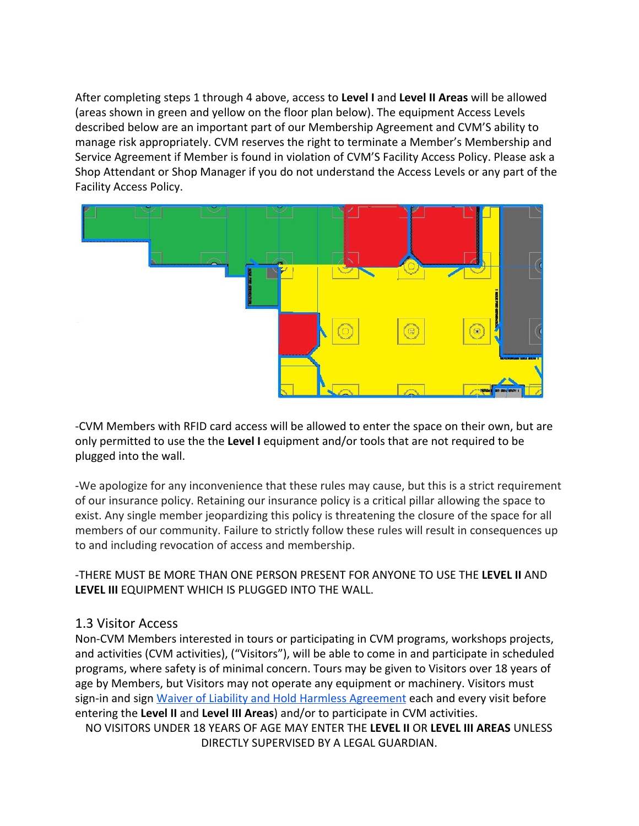After completing steps 1 through 4 above, access to **Level I** and **Level II Areas** will be allowed (areas shown in green and yellow on the floor plan below). The equipment Access Levels described below are an important part of our Membership Agreement and CVM'S ability to manage risk appropriately. CVM reserves the right to terminate a Member's Membership and Service Agreement if Member is found in violation of CVM'S Facility Access Policy. Please ask a Shop Attendant or Shop Manager if you do not understand the Access Levels or any part of the Facility Access Policy.



-CVM Members with RFID card access will be allowed to enter the space on their own, but are only permitted to use the the **Level I** equipment and/or tools that are not required to be plugged into the wall.

-We apologize for any inconvenience that these rules may cause, but this is a strict requirement of our insurance policy. Retaining our insurance policy is a critical pillar allowing the space to exist. Any single member jeopardizing this policy is threatening the closure of the space for all members of our community. Failure to strictly follow these rules will result in consequences up to and including revocation of access and membership.

-THERE MUST BE MORE THAN ONE PERSON PRESENT FOR ANYONE TO USE THE **LEVEL II** AND **LEVEL III** EQUIPMENT WHICH IS PLUGGED INTO THE WALL.

### 1.3 Visitor Access

Non-CVM Members interested in tours or participating in CVM programs, workshops projects, and activities (CVM activities), ("Visitors"), will be able to come in and participate in scheduled programs, where safety is of minimal concern. Tours may be given to Visitors over 18 years of age by Members, but Visitors may not operate any equipment or machinery. Visitors must sign-in and sign [Waiver of Liability and Hold Harmless Agreement](https://drive.google.com/open?id=1xtWwXzCisJ95q8gJbH4pu9fs_DkAlsQ0iJKADDxoQc4) each and every visit before entering the **Level II** and **Level III Areas**) and/or to participate in CVM activities.

NO VISITORS UNDER 18 YEARS OF AGE MAY ENTER THE **LEVEL II** OR **LEVEL III AREAS** UNLESS DIRECTLY SUPERVISED BY A LEGAL GUARDIAN.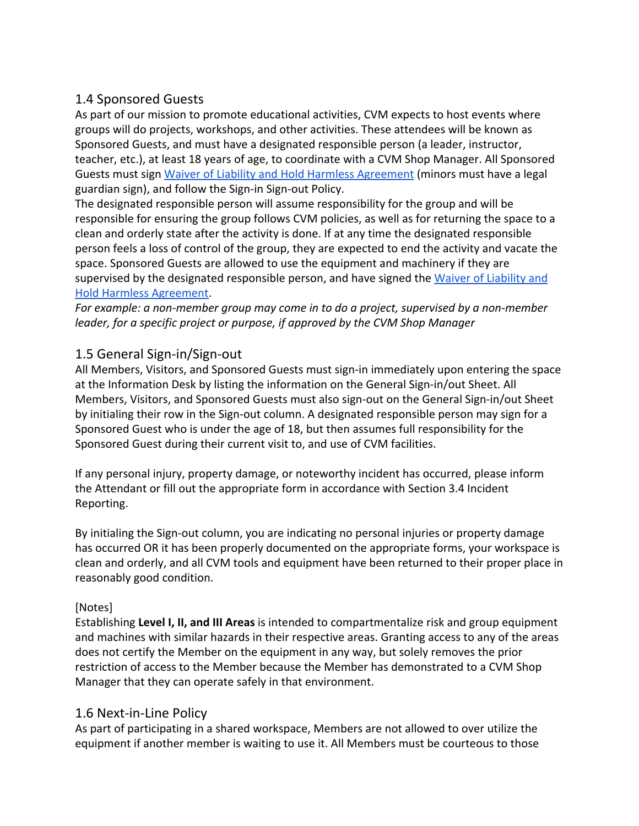# 1.4 Sponsored Guests

As part of our mission to promote educational activities, CVM expects to host events where groups will do projects, workshops, and other activities. These attendees will be known as Sponsored Guests, and must have a designated responsible person (a leader, instructor, teacher, etc.), at least 18 years of age, to coordinate with a CVM Shop Manager. All Sponsored Guests must sign Waiver of Liability and Hold Harmless Agreement (minors must have a legal guardian sign), and follow the Sign-in Sign-out Policy.

The designated responsible person will assume responsibility for the group and will be responsible for ensuring the group follows CVM policies, as well as for returning the space to a clean and orderly state after the activity is done. If at any time the designated responsible person feels a loss of control of the group, they are expected to end the activity and vacate the space. Sponsored Guests are allowed to use the equipment and machinery if they are supervised by the designated responsible person, and have signed the Waiver of Liability and Hold Harmless Agreement.

*For example: a non-member group may come in to do a project, supervised by a non-member leader, for a specific project or purpose, if approved by the CVM Shop Manager*

# 1.5 General Sign-in/Sign-out

All Members, Visitors, and Sponsored Guests must sign-in immediately upon entering the space at the Information Desk by listing the information on the General Sign-in/out Sheet. All Members, Visitors, and Sponsored Guests must also sign-out on the General Sign-in/out Sheet by initialing their row in the Sign-out column. A designated responsible person may sign for a Sponsored Guest who is under the age of 18, but then assumes full responsibility for the Sponsored Guest during their current visit to, and use of CVM facilities.

If any personal injury, property damage, or noteworthy incident has occurred, please inform the Attendant or fill out the appropriate form in accordance with Section 3.4 Incident Reporting.

By initialing the Sign-out column, you are indicating no personal injuries or property damage has occurred OR it has been properly documented on the appropriate forms, your workspace is clean and orderly, and all CVM tools and equipment have been returned to their proper place in reasonably good condition.

### [Notes]

Establishing **Level I, II, and III Areas** is intended to compartmentalize risk and group equipment and machines with similar hazards in their respective areas. Granting access to any of the areas does not certify the Member on the equipment in any way, but solely removes the prior restriction of access to the Member because the Member has demonstrated to a CVM Shop Manager that they can operate safely in that environment.

### 1.6 Next-in-Line Policy

As part of participating in a shared workspace, Members are not allowed to over utilize the equipment if another member is waiting to use it. All Members must be courteous to those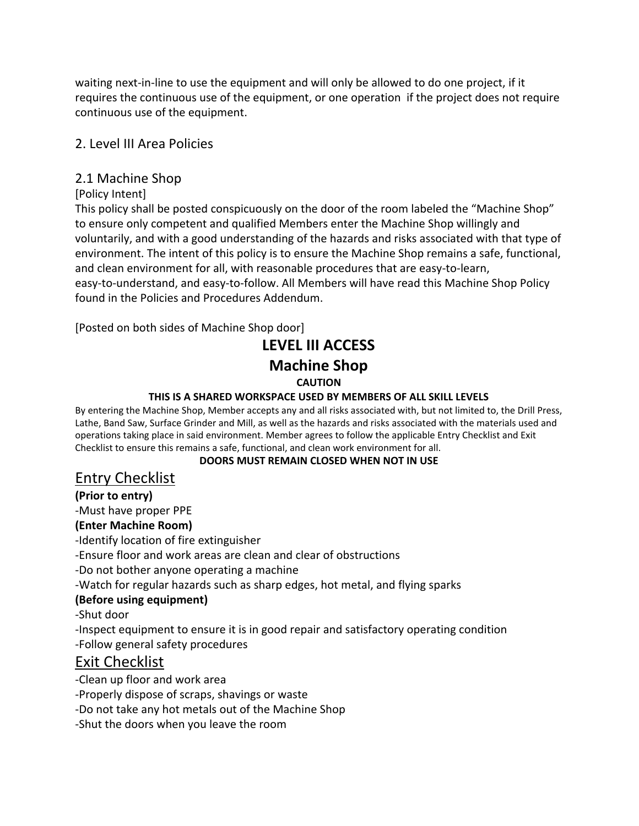waiting next-in-line to use the equipment and will only be allowed to do one project, if it requires the continuous use of the equipment, or one operation if the project does not require continuous use of the equipment.

## 2. Level III Area Policies

## 2.1 Machine Shop

### [Policy Intent]

This policy shall be posted conspicuously on the door of the room labeled the "Machine Shop" to ensure only competent and qualified Members enter the Machine Shop willingly and voluntarily, and with a good understanding of the hazards and risks associated with that type of environment. The intent of this policy is to ensure the Machine Shop remains a safe, functional, and clean environment for all, with reasonable procedures that are easy-to-learn, easy-to-understand, and easy-to-follow. All Members will have read this Machine Shop Policy found in the Policies and Procedures Addendum.

[Posted on both sides of Machine Shop door]

# **LEVEL III ACCESS Machine Shop CAUTION**

### **THIS IS A SHARED WORKSPACE USED BY MEMBERS OF ALL SKILL LEVELS**

By entering the Machine Shop, Member accepts any and all risks associated with, but not limited to, the Drill Press, Lathe, Band Saw, Surface Grinder and Mill, as well as the hazards and risks associated with the materials used and operations taking place in said environment. Member agrees to follow the applicable Entry Checklist and Exit Checklist to ensure this remains a safe, functional, and clean work environment for all.

### **DOORS MUST REMAIN CLOSED WHEN NOT IN USE**

# Entry Checklist

### **(Prior to entry)**

-Must have proper PPE

### **(Enter Machine Room)**

-Identify location of fire extinguisher

-Ensure floor and work areas are clean and clear of obstructions

-Do not bother anyone operating a machine

-Watch for regular hazards such as sharp edges, hot metal, and flying sparks

### **(Before using equipment)**

-Shut door

-Inspect equipment to ensure it is in good repair and satisfactory operating condition -Follow general safety procedures

# Exit Checklist

-Clean up floor and work area

-Properly dispose of scraps, shavings or waste

-Do not take any hot metals out of the Machine Shop

-Shut the doors when you leave the room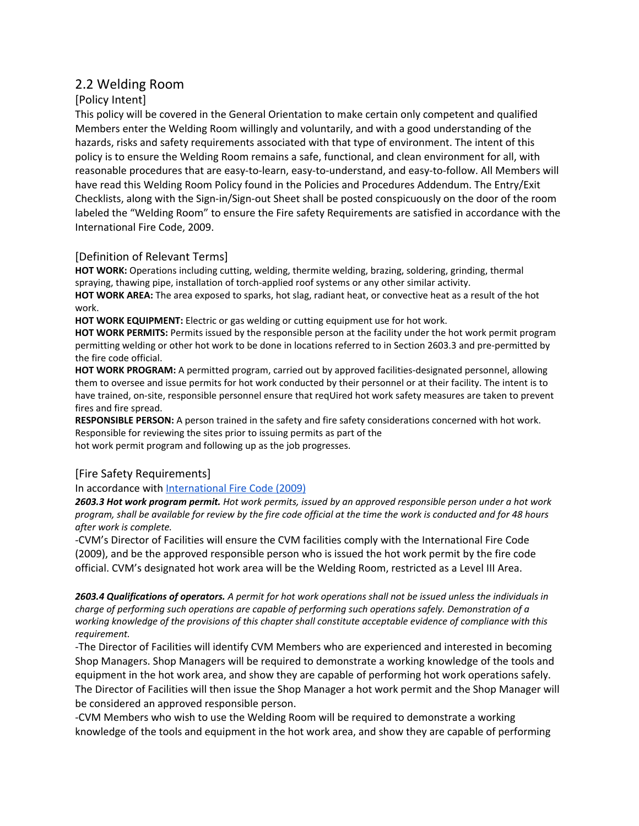### 2.2 Welding Room

#### [Policy Intent]

This policy will be covered in the General Orientation to make certain only competent and qualified Members enter the Welding Room willingly and voluntarily, and with a good understanding of the hazards, risks and safety requirements associated with that type of environment. The intent of this policy is to ensure the Welding Room remains a safe, functional, and clean environment for all, with reasonable procedures that are easy-to-learn, easy-to-understand, and easy-to-follow. All Members will have read this Welding Room Policy found in the Policies and Procedures Addendum. The Entry/Exit Checklists, along with the Sign-in/Sign-out Sheet shall be posted conspicuously on the door of the room labeled the "Welding Room" to ensure the Fire safety Requirements are satisfied in accordance with the International Fire Code, 2009.

#### [Definition of Relevant Terms]

**HOT WORK:** Operations including cutting, welding, thermite welding, brazing, soldering, grinding, thermal spraying, thawing pipe, installation of torch-applied roof systems or any other similar activity.

**HOT WORK AREA:** The area exposed to sparks, hot slag, radiant heat, or convective heat as a result of the hot work.

**HOT WORK EQUIPMENT:** Electric or gas welding or cutting equipment use for hot work.

**HOT WORK PERMITS:** Permits issued by the responsible person at the facility under the hot work permit program permitting welding or other hot work to be done in locations referred to in Section 2603.3 and pre-permitted by the fire code official.

**HOT WORK PROGRAM:** A permitted program, carried out by approved facilities-designated personnel, allowing them to oversee and issue permits for hot work conducted by their personnel or at their facility. The intent is to have trained, on-site, responsible personnel ensure that reqUired hot work safety measures are taken to prevent fires and fire spread.

**RESPONSIBLE PERSON:** A person trained in the safety and fire safety considerations concerned with hot work. Responsible for reviewing the sites prior to issuing permits as part of the hot work permit program and following up as the job progresses.

#### [Fire Safety Requirements]

#### In accordance with [International](https://drive.google.com/open?id=0B_mmyuX_KsM3QlpzSVVCSUpKWjg) Fire Code (2009[\)](https://drive.google.com/open?id=0B_mmyuX_KsM3QlpzSVVCSUpKWjg)

2603.3 Hot work program permit. Hot work permits, issued by an approved responsible person under a hot work program, shall be available for review by the fire code official at the time the work is conducted and for 48 hours *after work is complete.*

-CVM's Director of Facilities will ensure the CVM facilities comply with the International Fire Code (2009), and be the approved responsible person who is issued the hot work permit by the fire code official. CVM's designated hot work area will be the Welding Room, restricted as a Level III Area.

2603.4 Qualifications of operators. A permit for hot work operations shall not be issued unless the individuals in *charge of performing such operations are capable of performing such operations safely. Demonstration of a working knowledge of the provisions of this chapter shall constitute acceptable evidence of compliance with this requirement.*

-The Director of Facilities will identify CVM Members who are experienced and interested in becoming Shop Managers. Shop Managers will be required to demonstrate a working knowledge of the tools and equipment in the hot work area, and show they are capable of performing hot work operations safely. The Director of Facilities will then issue the Shop Manager a hot work permit and the Shop Manager will be considered an approved responsible person.

-CVM Members who wish to use the Welding Room will be required to demonstrate a working knowledge of the tools and equipment in the hot work area, and show they are capable of performing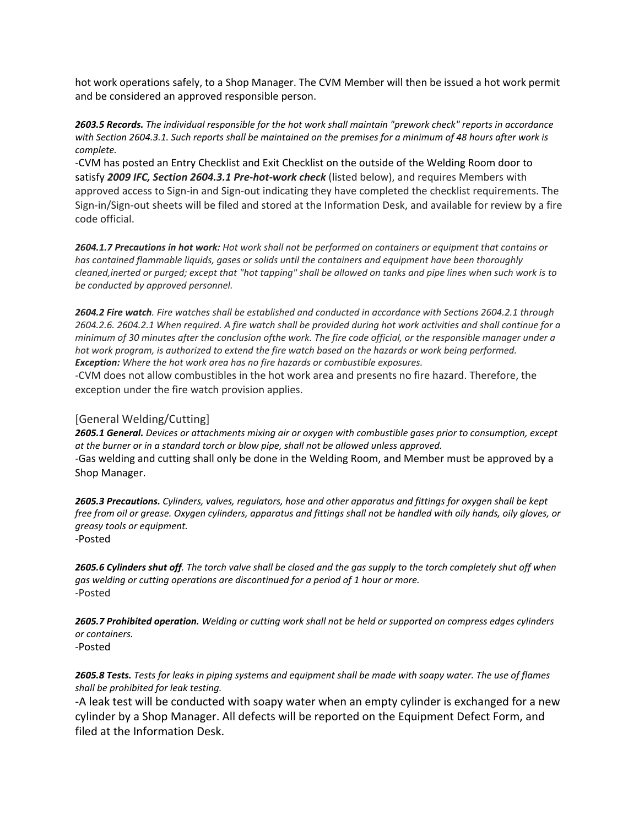hot work operations safely, to a Shop Manager. The CVM Member will then be issued a hot work permit and be considered an approved responsible person.

*2603.5 Records. The individual responsible for the hot work shall maintain "prework check" reports in accordance* with Section 2604.3.1. Such reports shall be maintained on the premises for a minimum of 48 hours after work is *complete.*

-CVM has posted an Entry Checklist and Exit Checklist on the outside of the Welding Room door to satisfy *2009 IFC, Section 2604.3.1 Pre-hot-work check* (listed below), and requires Members with approved access to Sign-in and Sign-out indicating they have completed the checklist requirements. The Sign-in/Sign-out sheets will be filed and stored at the Information Desk, and available for review by a fire code official.

2604.1.7 Precautions in hot work: Hot work shall not be performed on containers or equipment that contains or *has contained flammable liquids, gases or solids until the containers and equipment have been thoroughly* cleaned, inerted or purged; except that "hot tapping" shall be allowed on tanks and pipe lines when such work is to *be conducted by approved personnel.*

2604.2 Fire watch. Fire watches shall be established and conducted in accordance with Sections 2604.2.1 through 2604.2.6. 2604.2.1 When required. A fire watch shall be provided during hot work activities and shall continue for a minimum of 30 minutes after the conclusion ofthe work. The fire code official, or the responsible manager under a hot work program, is authorized to extend the fire watch based on the hazards or work being performed. *Exception: Where the hot work area has no fire hazards or combustible exposures.*

-CVM does not allow combustibles in the hot work area and presents no fire hazard. Therefore, the exception under the fire watch provision applies.

#### [General Welding/Cutting]

*2605.1 General. Devices or attachments mixing air or oxygen with combustible gases prior to consumption, except at the burner or in a standard torch or blow pipe, shall not be allowed unless approved.* -Gas welding and cutting shall only be done in the Welding Room, and Member must be approved by a Shop Manager.

2605.3 Precautions. Cylinders, valves, regulators, hose and other apparatus and fittings for oxygen shall be kept free from oil or grease. Oxygen cylinders, apparatus and fittings shall not be handled with oily hands, oily gloves, or *greasy tools or equipment.* -Posted

2605.6 Cylinders shut off. The torch valve shall be closed and the gas supply to the torch completely shut off when *gas welding or cutting operations are discontinued for a period of 1 hour or more.* -Posted

2605.7 Prohibited operation. Welding or cutting work shall not be held or supported on compress edges cylinders *or containers.* -Posted

2605.8 Tests. Tests for leaks in piping systems and equipment shall be made with soapy water. The use of flames *shall be prohibited for leak testing.*

-A leak test will be conducted with soapy water when an empty cylinder is exchanged for a new cylinder by a Shop Manager. All defects will be reported on the Equipment Defect Form, and filed at the Information Desk.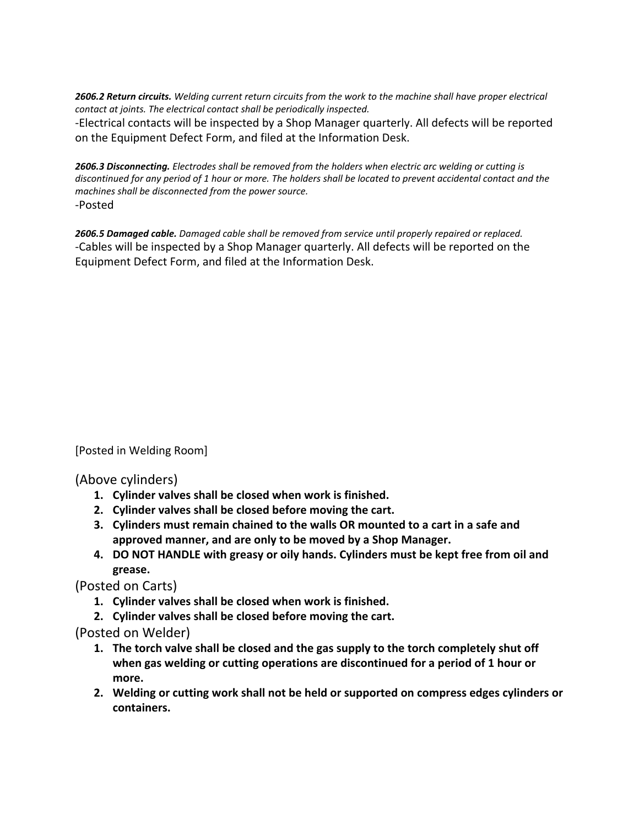2606.2 Return circuits. Welding current return circuits from the work to the machine shall have proper electrical *contact at joints. The electrical contact shall be periodically inspected.*

-Electrical contacts will be inspected by a Shop Manager quarterly. All defects will be reported on the Equipment Defect Form, and filed at the Information Desk.

*2606.3 Disconnecting. Electrodes shall be removed from the holders when electric arc welding or cutting is* discontinued for any period of 1 hour or more. The holders shall be located to prevent accidental contact and the *machines shall be disconnected from the power source.* -Posted

*2606.5 Damaged cable. Damaged cable shall be removed from service until properly repaired or replaced.* -Cables will be inspected by a Shop Manager quarterly. All defects will be reported on the Equipment Defect Form, and filed at the Information Desk.

[Posted in Welding Room]

(Above cylinders)

- **1. Cylinder valves shall be closed when work is finished.**
- **2. Cylinder valves shall be closed before moving the cart.**
- **3. Cylinders must remain chained to the walls OR mounted to a cart in a safe and approved manner, and are only to be moved by a Shop Manager.**
- **4. DO NOT HANDLE with greasy or oily hands. Cylinders must be kept free from oil and grease.**

(Posted on Carts)

- **1. Cylinder valves shall be closed when work is finished.**
- **2. Cylinder valves shall be closed before moving the cart.**

(Posted on Welder)

- **1. The torch valve shall be closed and the gas supply to the torch completely shut off when gas welding or cutting operations are discontinued for a period of 1 hour or more.**
- **2. Welding or cutting work shall not be held or supported on compress edges cylinders or containers.**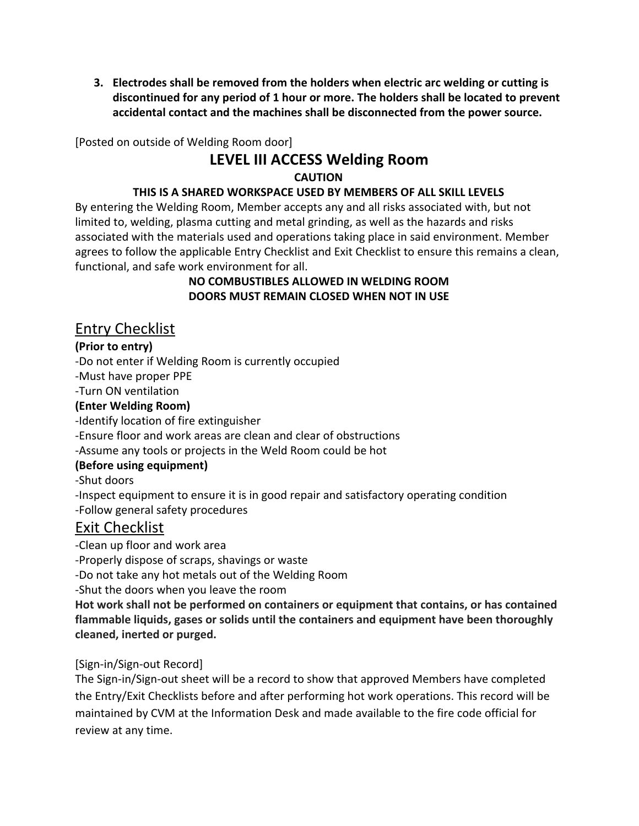**3. Electrodes shall be removed from the holders when electric arc welding or cutting is discontinued for any period of 1 hour or more. The holders shall be located to prevent accidental contact and the machines shall be disconnected from the power source.**

[Posted on outside of Welding Room door]

# **LEVEL III ACCESS Welding Room CAUTION**

### **THIS IS A SHARED WORKSPACE USED BY MEMBERS OF ALL SKILL LEVELS**

By entering the Welding Room, Member accepts any and all risks associated with, but not limited to, welding, plasma cutting and metal grinding, as well as the hazards and risks associated with the materials used and operations taking place in said environment. Member agrees to follow the applicable Entry Checklist and Exit Checklist to ensure this remains a clean, functional, and safe work environment for all.

#### **NO COMBUSTIBLES ALLOWED IN WELDING ROOM DOORS MUST REMAIN CLOSED WHEN NOT IN USE**

# Entry Checklist

### **(Prior to entry)**

-Do not enter if Welding Room is currently occupied

-Must have proper PPE

-Turn ON ventilation

### **(Enter Welding Room)**

-Identify location of fire extinguisher

-Ensure floor and work areas are clean and clear of obstructions

-Assume any tools or projects in the Weld Room could be hot

### **(Before using equipment)**

-Shut doors

-Inspect equipment to ensure it is in good repair and satisfactory operating condition -Follow general safety procedures

# Exit Checklist

-Clean up floor and work area

-Properly dispose of scraps, shavings or waste

-Do not take any hot metals out of the Welding Room

-Shut the doors when you leave the room

**Hot work shall not be performed on containers or equipment that contains, or has contained flammable liquids, gases or solids until the containers and equipment have been thoroughly cleaned, inerted or purged.**

### [Sign-in/Sign-out Record]

The Sign-in/Sign-out sheet will be a record to show that approved Members have completed the Entry/Exit Checklists before and after performing hot work operations. This record will be maintained by CVM at the Information Desk and made available to the fire code official for review at any time.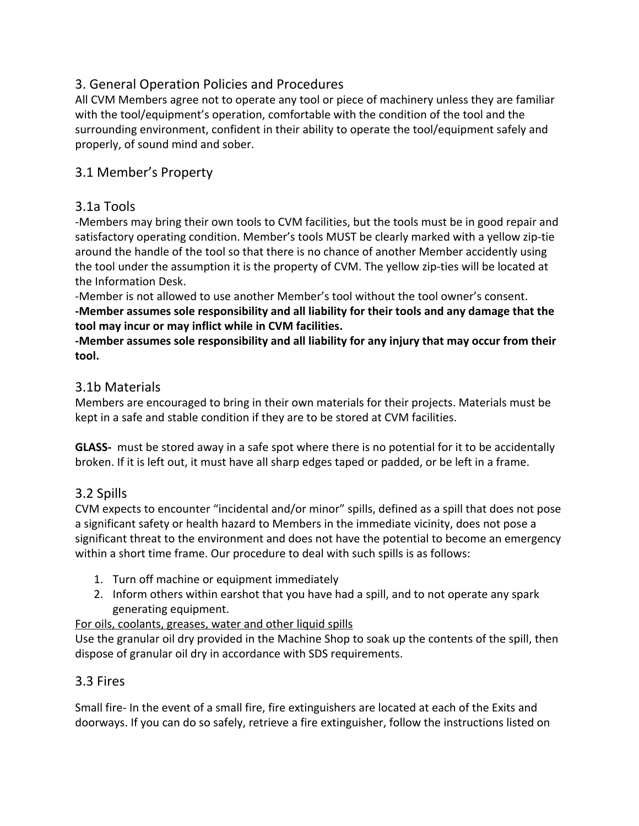# 3. General Operation Policies and Procedures

All CVM Members agree not to operate any tool or piece of machinery unless they are familiar with the tool/equipment's operation, comfortable with the condition of the tool and the surrounding environment, confident in their ability to operate the tool/equipment safely and properly, of sound mind and sober.

# 3.1 Member's Property

## 3.1a Tools

-Members may bring their own tools to CVM facilities, but the tools must be in good repair and satisfactory operating condition. Member's tools MUST be clearly marked with a yellow zip-tie around the handle of the tool so that there is no chance of another Member accidently using the tool under the assumption it is the property of CVM. The yellow zip-ties will be located at the Information Desk.

-Member is not allowed to use another Member's tool without the tool owner's consent. **-Member assumes sole responsibility and all liability for their tools and any damage that the tool may incur or may inflict while in CVM facilities.**

**-Member assumes sole responsibility and all liability for any injury that may occur from their tool.**

## 3.1b Materials

Members are encouraged to bring in their own materials for their projects. Materials must be kept in a safe and stable condition if they are to be stored at CVM facilities.

**GLASS-**  must be stored away in a safe spot where there is no potential for it to be accidentally broken. If it is left out, it must have all sharp edges taped or padded, or be left in a frame.

# 3.2 Spills

CVM expects to encounter "incidental and/or minor" spills, defined as a spill that does not pose a significant safety or health hazard to Members in the immediate vicinity, does not pose a significant threat to the environment and does not have the potential to become an emergency within a short time frame. Our procedure to deal with such spills is as follows:

- 1. Turn off machine or equipment immediately
- 2. Inform others within earshot that you have had a spill, and to not operate any spark generating equipment.

For oils, coolants, greases, water and other liquid spills

Use the granular oil dry provided in the Machine Shop to soak up the contents of the spill, then dispose of granular oil dry in accordance with SDS requirements.

# 3.3 Fires

Small fire- In the event of a small fire, fire extinguishers are located at each of the Exits and doorways. If you can do so safely, retrieve a fire extinguisher, follow the instructions listed on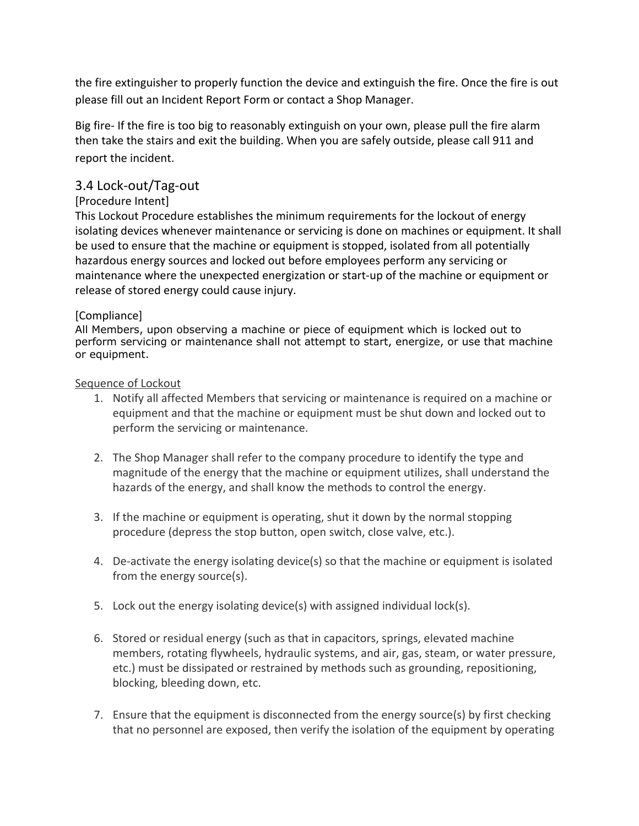the fire extinguisher to properly function the device and extinguish the fire. Once the fire is out please fill out an Incident Report Form or contact a Shop Manager.

Big fire- If the fire is too big to reasonably extinguish on your own, please pull the fire alarm then take the stairs and exit the building. When you are safely outside, please call 911 and report the incident.

## 3.4 Lock-out/Tag-out

### [Procedure Intent]

This Lockout Procedure establishes the minimum requirements for the lockout of energy isolating devices whenever maintenance or servicing is done on machines or equipment. It shall be used to ensure that the machine or equipment is stopped, isolated from all potentially hazardous energy sources and locked out before employees perform any servicing or maintenance where the unexpected energization or start-up of the machine or equipment or release of stored energy could cause injury.

### [Compliance]

All Members, upon observing a machine or piece of equipment which is locked out to perform servicing or maintenance shall not attempt to start, energize, or use that machine or equipment.

#### Sequence of Lockout

- 1. Notify all affected Members that servicing or maintenance is required on a machine or equipment and that the machine or equipment must be shut down and locked out to perform the servicing or maintenance.
- 2. The Shop Manager shall refer to the company procedure to identify the type and magnitude of the energy that the machine or equipment utilizes, shall understand the hazards of the energy, and shall know the methods to control the energy.
- 3. If the machine or equipment is operating, shut it down by the normal stopping procedure (depress the stop button, open switch, close valve, etc.).
- 4. De-activate the energy isolating device(s) so that the machine or equipment is isolated from the energy source(s).
- 5. Lock out the energy isolating device(s) with assigned individual lock(s).
- 6. Stored or residual energy (such as that in capacitors, springs, elevated machine members, rotating flywheels, hydraulic systems, and air, gas, steam, or water pressure, etc.) must be dissipated or restrained by methods such as grounding, repositioning, blocking, bleeding down, etc.
- 7. Ensure that the equipment is disconnected from the energy source(s) by first checking that no personnel are exposed, then verify the isolation of the equipment by operating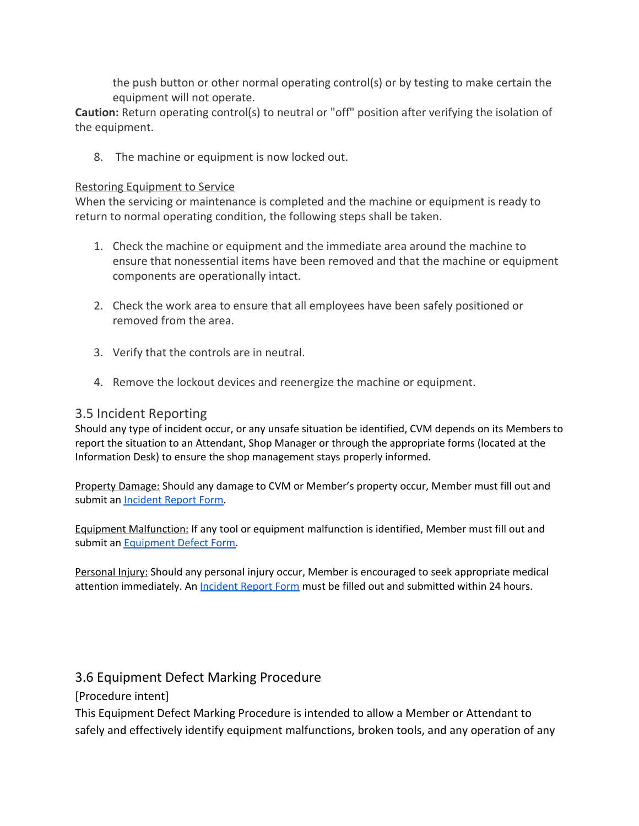the push button or other normal operating control(s) or by testing to make certain the equipment will not operate.

**Caution:** Return operating control(s) to neutral or "off" position after verifying the isolation of the equipment.

8. The machine or equipment is now locked out.

#### Restoring Equipment to Service

When the servicing or maintenance is completed and the machine or equipment is ready to return to normal operating condition, the following steps shall be taken.

- 1. Check the machine or equipment and the immediate area around the machine to ensure that nonessential items have been removed and that the machine or equipment components are operationally intact.
- 2. Check the work area to ensure that all employees have been safely positioned or removed from the area.
- 3. Verify that the controls are in neutral.
- 4. Remove the lockout devices and reenergize the machine or equipment.

### 3.5 Incident Reporting

Should any type of incident occur, or any unsafe situation be identified, CVM depends on its Members to report the situation to an Attendant, Shop Manager or through the appropriate forms (located at the Information Desk) to ensure the shop management stays properly informed.

Property Damage: Should any damage to CVM or Member's property occur, Member must fill out and submit an [Incident](https://drive.google.com/open?id=1ZBH5S5yomjyzgwA8gHAlvhojaHKJh4AvXMhyOeSlsZo) Report Form.

Equipment Malfunction: If any tool or equipment malfunction is identified, Member must fill out and submit an **[Equipment](https://drive.google.com/open?id=16m_QcAodo6Sk_CETDNb_uqp7CdZKJdSnZKMA5F8gkLo) Defect Form**.

Personal Injury: Should any personal injury occur, Member is encouraged to seek appropriate medical attention immediately. An [Incident](https://drive.google.com/open?id=1ZBH5S5yomjyzgwA8gHAlvhojaHKJh4AvXMhyOeSlsZo) Report Form must be filled out and submitted within 24 hours.

### 3.6 Equipment Defect Marking Procedure

[Procedure intent]

This Equipment Defect Marking Procedure is intended to allow a Member or Attendant to safely and effectively identify equipment malfunctions, broken tools, and any operation of any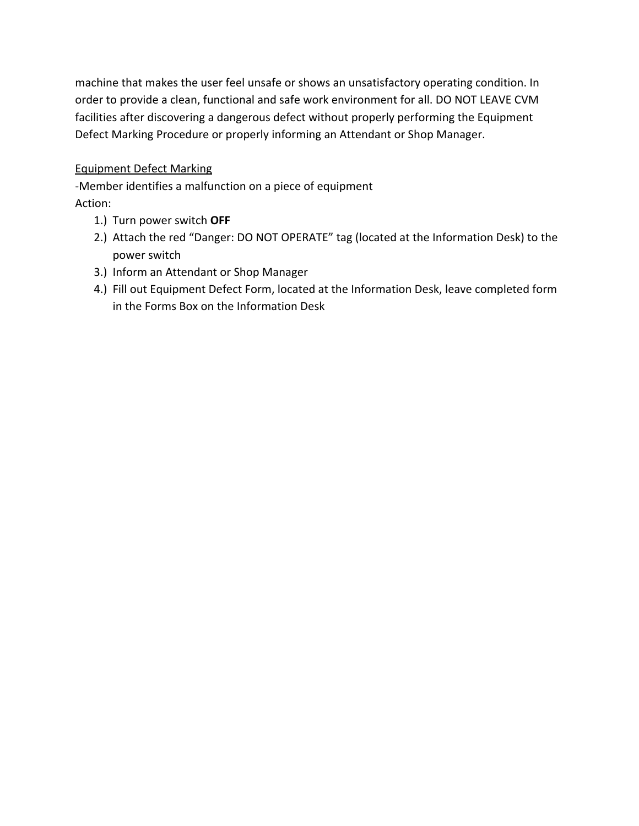machine that makes the user feel unsafe or shows an unsatisfactory operating condition. In order to provide a clean, functional and safe work environment for all. DO NOT LEAVE CVM facilities after discovering a dangerous defect without properly performing the Equipment Defect Marking Procedure or properly informing an Attendant or Shop Manager.

## Equipment Defect Marking

-Member identifies a malfunction on a piece of equipment Action:

- 1.) Turn power switch **OFF**
- 2.) Attach the red "Danger: DO NOT OPERATE" tag (located at the Information Desk) to the power switch
- 3.) Inform an Attendant or Shop Manager
- 4.) Fill out Equipment Defect Form, located at the Information Desk, leave completed form in the Forms Box on the Information Desk